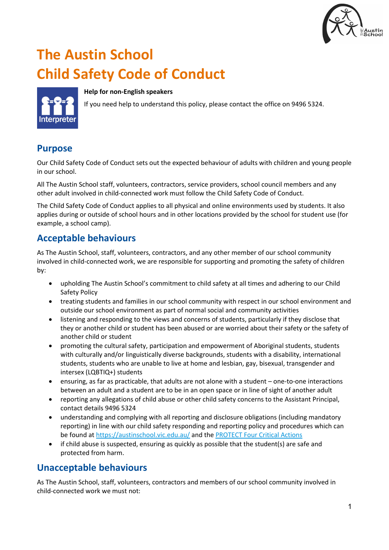

# **The Austin School Child Safety Code of Conduct**

#### **Help for non-English speakers**

If you need help to understand this policy, please contact the office on 9496 5324.

# **Purpose**

Our Child Safety Code of Conduct sets out the expected behaviour of adults with children and young people in our school.

All The Austin School staff, volunteers, contractors, service providers, school council members and any other adult involved in child-connected work must follow the Child Safety Code of Conduct.

The Child Safety Code of Conduct applies to all physical and online environments used by students. It also applies during or outside of school hours and in other locations provided by the school for student use (for example, a school camp).

# **Acceptable behaviours**

As The Austin School, staff, volunteers, contractors, and any other member of our school community involved in child-connected work, we are responsible for supporting and promoting the safety of children by:

- upholding The Austin School's commitment to child safety at all times and adhering to our Child Safety Policy
- treating students and families in our school community with respect in our school environment and outside our school environment as part of normal social and community activities
- listening and responding to the views and concerns of students, particularly if they disclose that they or another child or student has been abused or are worried about their safety or the safety of another child or student
- promoting the cultural safety, participation and empowerment of Aboriginal students, students with culturally and/or linguistically diverse backgrounds, students with a disability, international students, students who are unable to live at home and lesbian, gay, bisexual, transgender and intersex (LQBTIQ+) students
- ensuring, as far as practicable, that adults are not alone with a student one-to-one interactions between an adult and a student are to be in an open space or in line of sight of another adult
- reporting any allegations of child abuse or other child safety concerns to the Assistant Principal, contact details 9496 5324
- understanding and complying with all reporting and disclosure obligations (including mandatory reporting) in line with our child safety responding and reporting policy and procedures which can be found at<https://austinschool.vic.edu.au/> and the [PROTECT Four Critical Actions](https://www.education.vic.gov.au/Documents/about/programs/health/protect/FourCriticalActions_ChildAbuse.pdf)
- if child abuse is suspected, ensuring as quickly as possible that the student(s) are safe and protected from harm.

# **Unacceptable behaviours**

As The Austin School, staff, volunteers, contractors and members of our school community involved in child-connected work we must not: